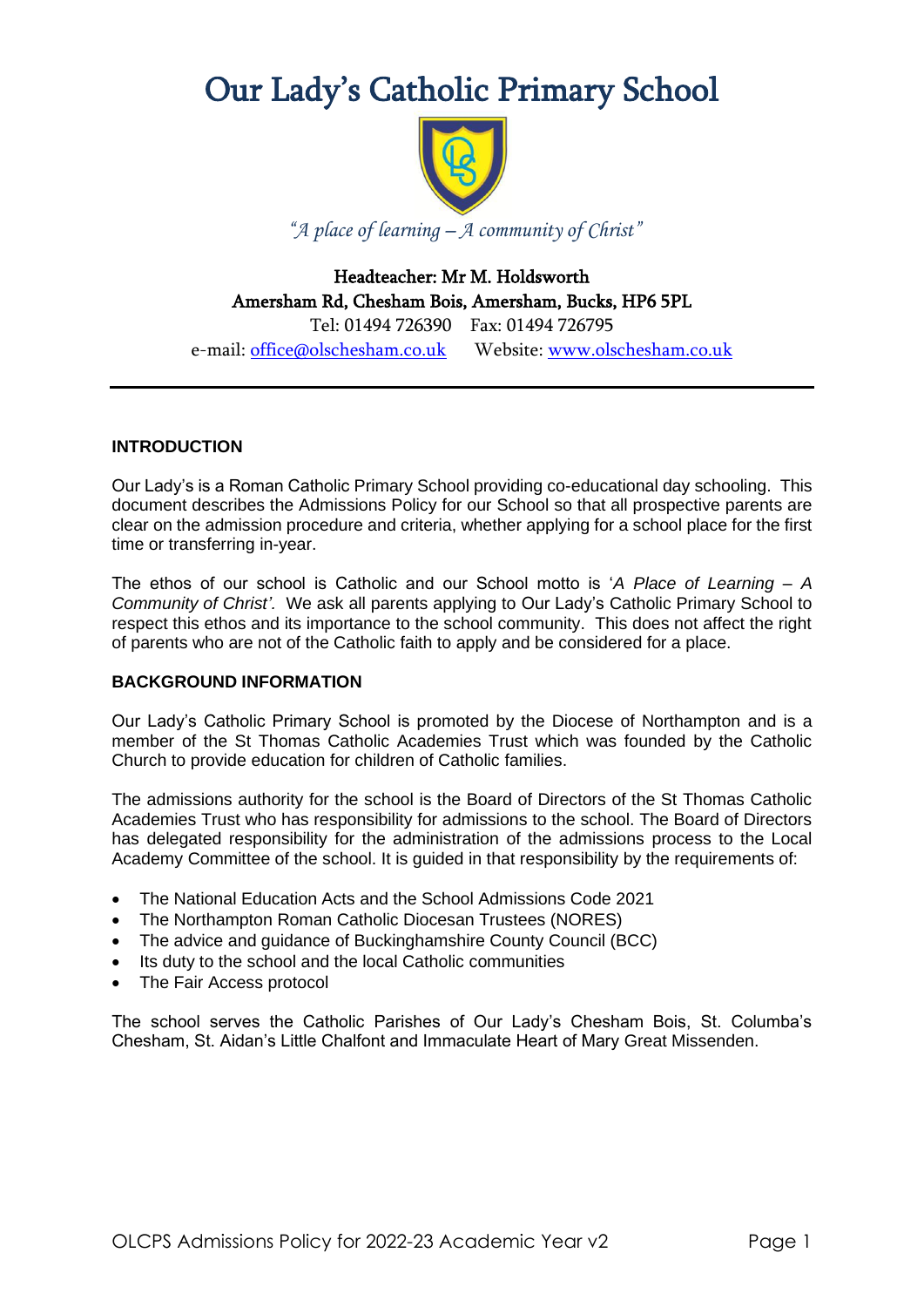# Our Lady's Catholic Primary School



*"A place of learning – A community of Christ"*

Headteacher: Mr M. Holdsworth Amersham Rd, Chesham Bois, Amersham, Bucks, HP6 5PL Tel: 01494 726390 Fax: 01494 726795

e-mail: [office@olschesham.co.uk](mailto:office@olschesham.co.uk) Website: [www.olschesham.co.uk](http://www.olschesham.co.uk/)

## **INTRODUCTION**

Our Lady's is a Roman Catholic Primary School providing co-educational day schooling. This document describes the Admissions Policy for our School so that all prospective parents are clear on the admission procedure and criteria, whether applying for a school place for the first time or transferring in-year.

The ethos of our school is Catholic and our School motto is '*A Place of Learning – A Community of Christ'.* We ask all parents applying to Our Lady's Catholic Primary School to respect this ethos and its importance to the school community. This does not affect the right of parents who are not of the Catholic faith to apply and be considered for a place.

## **BACKGROUND INFORMATION**

Our Lady's Catholic Primary School is promoted by the Diocese of Northampton and is a member of the St Thomas Catholic Academies Trust which was founded by the Catholic Church to provide education for children of Catholic families.

The admissions authority for the school is the Board of Directors of the St Thomas Catholic Academies Trust who has responsibility for admissions to the school. The Board of Directors has delegated responsibility for the administration of the admissions process to the Local Academy Committee of the school. It is guided in that responsibility by the requirements of:

- The National Education Acts and the School Admissions Code 2021
- The Northampton Roman Catholic Diocesan Trustees (NORES)
- The advice and guidance of Buckinghamshire County Council (BCC)
- Its duty to the school and the local Catholic communities
- The Fair Access protocol

The school serves the Catholic Parishes of Our Lady's Chesham Bois, St. Columba's Chesham, St. Aidan's Little Chalfont and Immaculate Heart of Mary Great Missenden.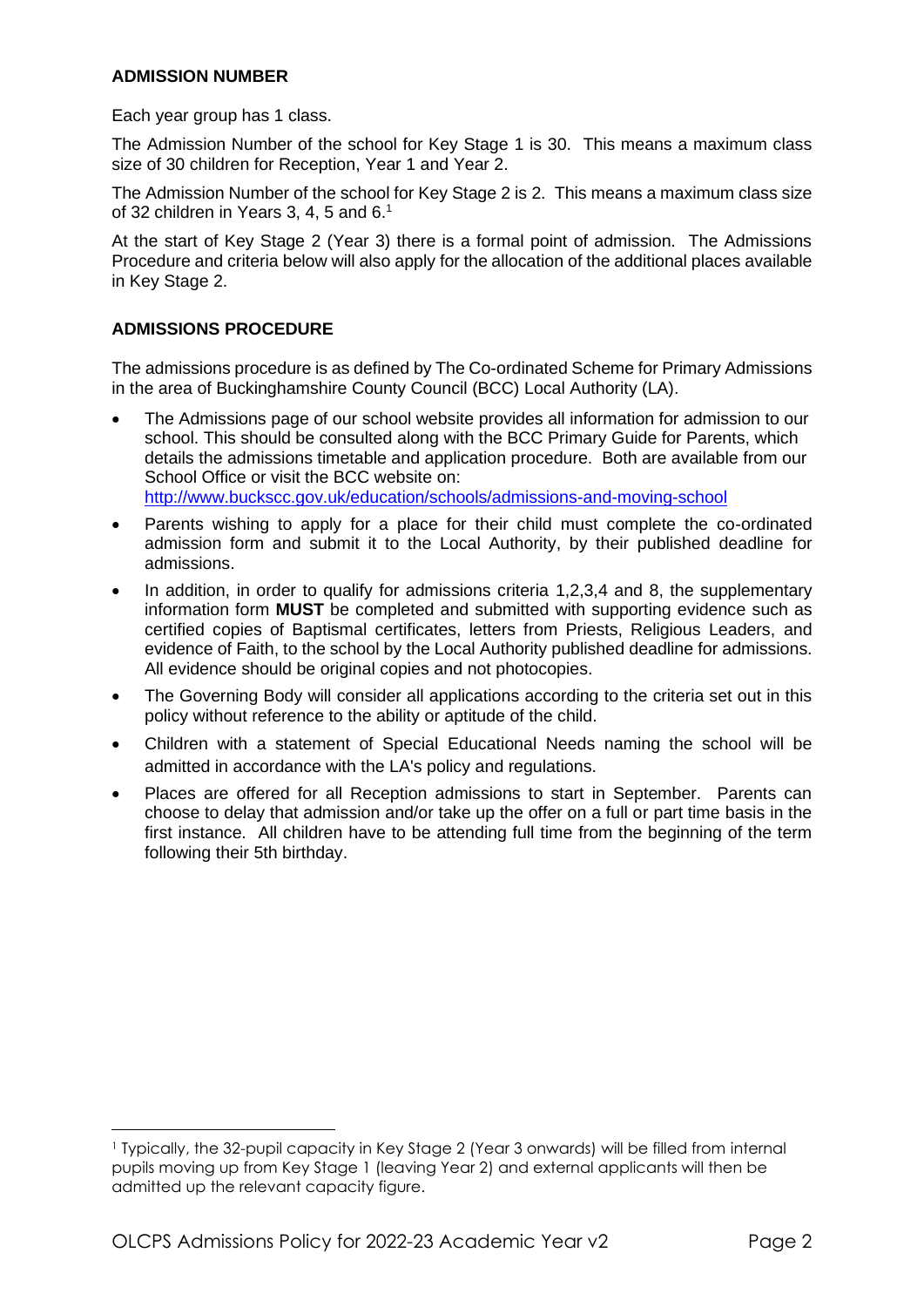## **ADMISSION NUMBER**

Each year group has 1 class.

The Admission Number of the school for Key Stage 1 is 30. This means a maximum class size of 30 children for Reception, Year 1 and Year 2.

The Admission Number of the school for Key Stage 2 is 2. This means a maximum class size of 32 children in Years 3, 4, 5 and 6.<sup>1</sup>

At the start of Key Stage 2 (Year 3) there is a formal point of admission. The Admissions Procedure and criteria below will also apply for the allocation of the additional places available in Key Stage 2.

## **ADMISSIONS PROCEDURE**

The admissions procedure is as defined by The Co-ordinated Scheme for Primary Admissions in the area of Buckinghamshire County Council (BCC) Local Authority (LA).

- The Admissions page of our school website provides all information for admission to our school. This should be consulted along with the BCC Primary Guide for Parents, which details the admissions timetable and application procedure. Both are available from our School Office or visit the BCC website on: <http://www.buckscc.gov.uk/education/schools/admissions-and-moving-school>
- Parents wishing to apply for a place for their child must complete the co-ordinated admission form and submit it to the Local Authority, by their published deadline for admissions.
- In addition, in order to qualify for admissions criteria 1,2,3,4 and 8, the supplementary information form **MUST** be completed and submitted with supporting evidence such as certified copies of Baptismal certificates, letters from Priests, Religious Leaders, and evidence of Faith, to the school by the Local Authority published deadline for admissions. All evidence should be original copies and not photocopies.
- The Governing Body will consider all applications according to the criteria set out in this policy without reference to the ability or aptitude of the child.
- Children with a statement of Special Educational Needs naming the school will be admitted in accordance with the LA's policy and regulations.
- Places are offered for all Reception admissions to start in September. Parents can choose to delay that admission and/or take up the offer on a full or part time basis in the first instance. All children have to be attending full time from the beginning of the term following their 5th birthday.

<sup>1</sup> Typically, the 32-pupil capacity in Key Stage 2 (Year 3 onwards) will be filled from internal pupils moving up from Key Stage 1 (leaving Year 2) and external applicants will then be admitted up the relevant capacity figure.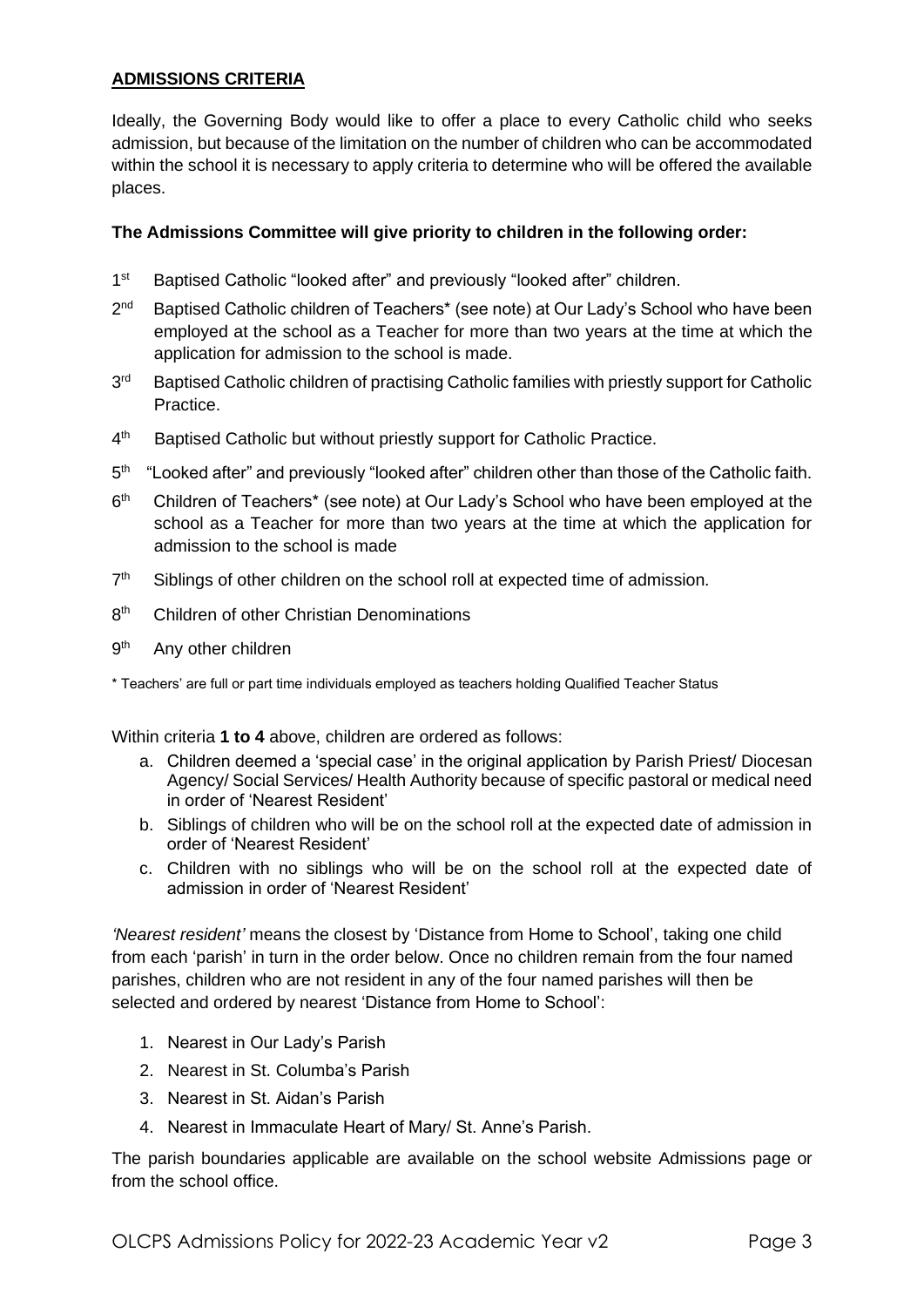## **ADMISSIONS CRITERIA**

Ideally, the Governing Body would like to offer a place to every Catholic child who seeks admission, but because of the limitation on the number of children who can be accommodated within the school it is necessary to apply criteria to determine who will be offered the available places.

## **The Admissions Committee will give priority to children in the following order:**

- 1 st Baptised Catholic "looked after" and previously "looked after" children.
- $2<sup>nd</sup>$ Baptised Catholic children of Teachers\* (see note) at Our Lady's School who have been employed at the school as a Teacher for more than two years at the time at which the application for admission to the school is made.
- 3rd Baptised Catholic children of practising Catholic families with priestly support for Catholic Practice.
- $4<sup>th</sup>$ Baptised Catholic but without priestly support for Catholic Practice.
- $5<sup>th</sup>$ "Looked after" and previously "looked after" children other than those of the Catholic faith.
- $6<sup>th</sup>$ Children of Teachers\* (see note) at Our Lady's School who have been employed at the school as a Teacher for more than two years at the time at which the application for admission to the school is made
- $7<sup>th</sup>$ Siblings of other children on the school roll at expected time of admission.
- 8<sup>th</sup> Children of other Christian Denominations
- **gth** Any other children

\* Teachers' are full or part time individuals employed as teachers holding Qualified Teacher Status

Within criteria **1 to 4** above, children are ordered as follows:

- a. Children deemed a 'special case' in the original application by Parish Priest/ Diocesan Agency/ Social Services/ Health Authority because of specific pastoral or medical need in order of 'Nearest Resident'
- b. Siblings of children who will be on the school roll at the expected date of admission in order of 'Nearest Resident'
- c. Children with no siblings who will be on the school roll at the expected date of admission in order of 'Nearest Resident'

*'Nearest resident'* means the closest by 'Distance from Home to School', taking one child from each 'parish' in turn in the order below. Once no children remain from the four named parishes, children who are not resident in any of the four named parishes will then be selected and ordered by nearest 'Distance from Home to School':

- 1. Nearest in Our Lady's Parish
- 2. Nearest in St. Columba's Parish
- 3. Nearest in St. Aidan's Parish
- 4. Nearest in Immaculate Heart of Mary/ St. Anne's Parish.

The parish boundaries applicable are available on the school website Admissions page or from the school office.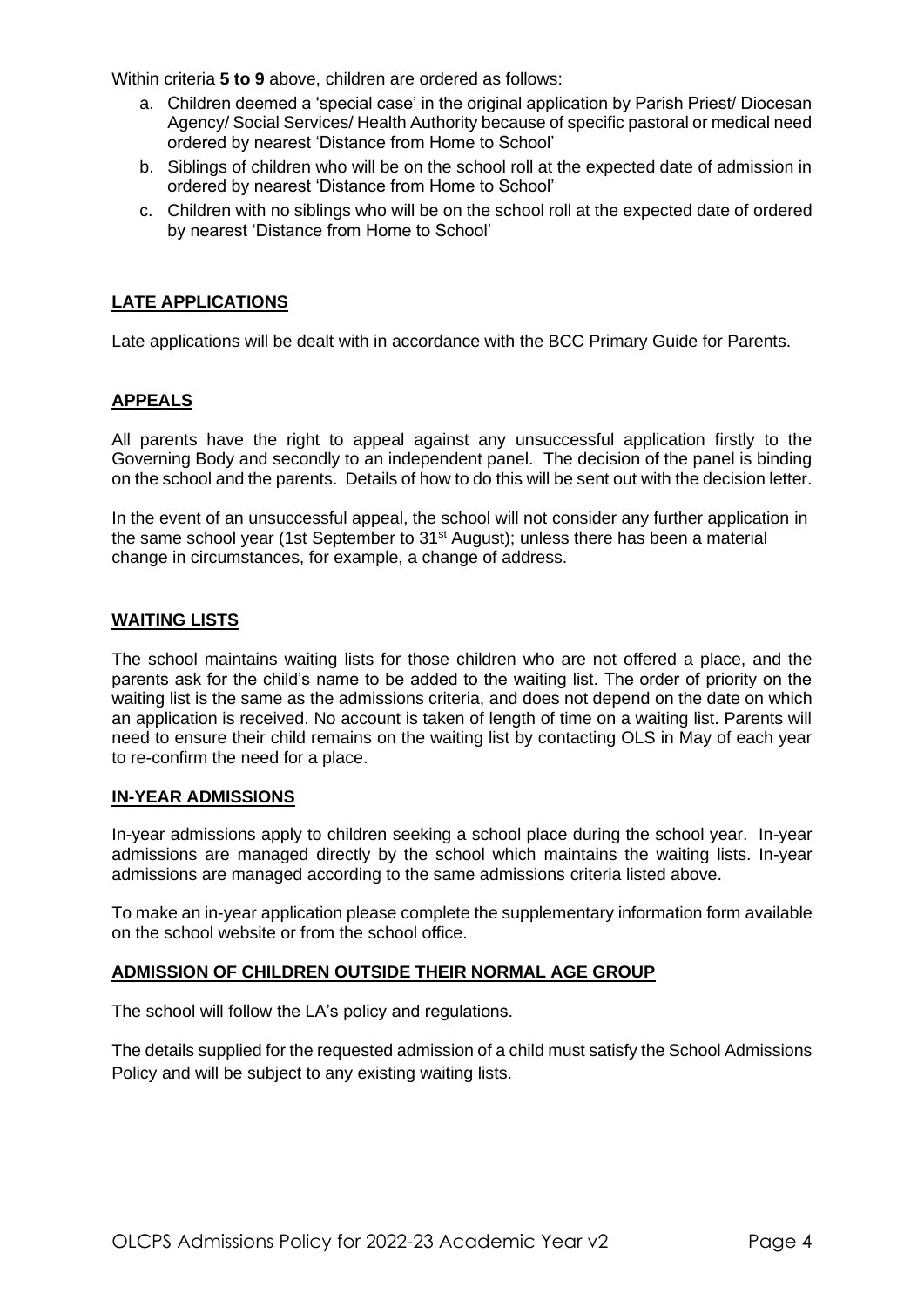Within criteria **5 to 9** above, children are ordered as follows:

- a. Children deemed a 'special case' in the original application by Parish Priest/ Diocesan Agency/ Social Services/ Health Authority because of specific pastoral or medical need ordered by nearest 'Distance from Home to School'
- b. Siblings of children who will be on the school roll at the expected date of admission in ordered by nearest 'Distance from Home to School'
- c. Children with no siblings who will be on the school roll at the expected date of ordered by nearest 'Distance from Home to School'

## **LATE APPLICATIONS**

Late applications will be dealt with in accordance with the BCC Primary Guide for Parents.

## **APPEALS**

All parents have the right to appeal against any unsuccessful application firstly to the Governing Body and secondly to an independent panel. The decision of the panel is binding on the school and the parents. Details of how to do this will be sent out with the decision letter.

In the event of an unsuccessful appeal, the school will not consider any further application in the same school year (1st September to 31<sup>st</sup> August); unless there has been a material change in circumstances, for example, a change of address.

## **WAITING LISTS**

The school maintains waiting lists for those children who are not offered a place, and the parents ask for the child's name to be added to the waiting list. The order of priority on the waiting list is the same as the admissions criteria, and does not depend on the date on which an application is received. No account is taken of length of time on a waiting list. Parents will need to ensure their child remains on the waiting list by contacting OLS in May of each year to re-confirm the need for a place.

## **IN-YEAR ADMISSIONS**

In-year admissions apply to children seeking a school place during the school year. In-year admissions are managed directly by the school which maintains the waiting lists. In-year admissions are managed according to the same admissions criteria listed above.

To make an in-year application please complete the supplementary information form available on the school website or from the school office.

## **ADMISSION OF CHILDREN OUTSIDE THEIR NORMAL AGE GROUP**

The school will follow the LA's policy and regulations.

The details supplied for the requested admission of a child must satisfy the School Admissions Policy and will be subject to any existing waiting lists.